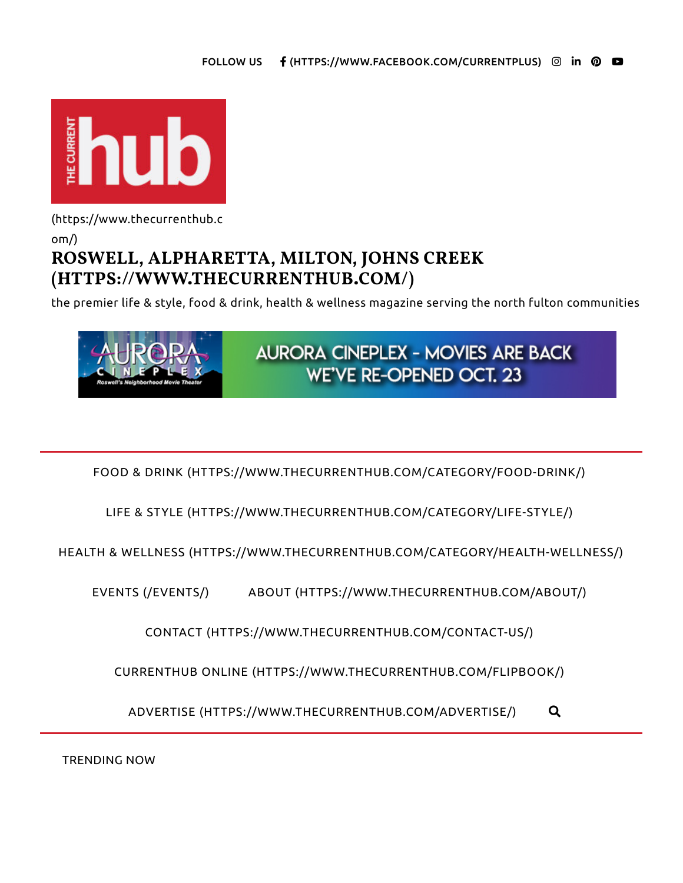

(https://www.thecurrenthub.c

om/)

# **ROSWELL, ALPHARETTA, MILTON, JOHNS CREEK (HTTPS://WWW.THECURRENTHUB.COM/)**

the premier life & style, food & drink, health & wellness magazine serving the north fulton communities



FOOD & DRINK (HTTPS://WWW.THECURRENTHUB.COM/CATEGORY/FOOD-DRINK/)

LIFE & STYLE (HTTPS://WWW.THECURRENTHUB.COM/CATEGORY/LIFE-STYLE/)

HEALTH & WELLNESS (HTTPS://WWW.THECURRENTHUB.COM/CATEGORY/HEALTH-WELLNESS/)

EVENTS (/EVENTS/) ABOUT (HTTPS://WWW.THECURRENTHUB.COM/ABOUT/)

CONTACT (HTTPS://WWW.THECURRENTHUB.COM/CONTACT-US/)

CURRENTHUB ONLINE (HTTPS://WWW.THECURRENTHUB.COM/FLIPBOOK/)

ADVERTISE (HTTPS://WWW.THECURRENTHUB.COM/ADVERTISE/) !

TRENDING NOW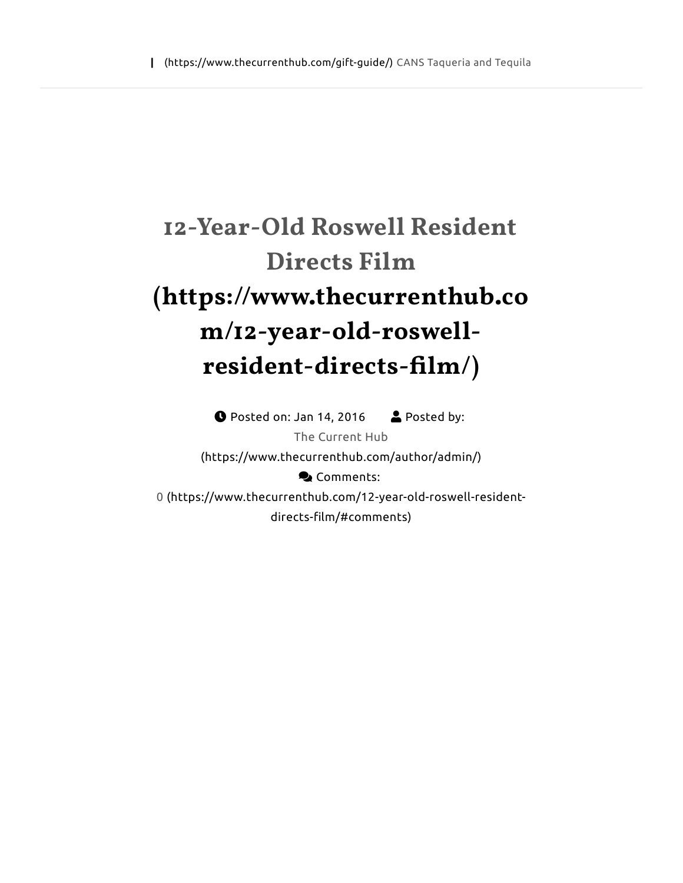# **12-Year-Old Roswell Resident Directs Film (https://www.thecurrenthub.co m/12-year-old-roswellresident-directs-!lm/)**

 $\bullet$  Posted on: Jan 14, 2016  $\bullet$  Posted by: The Current Hub (https://www.thecurrenthub.com/author/admin/) **Q** Comments: 0 (https://www.thecurrenthub.com/12-year-old-roswell-residentdirects-film/#comments)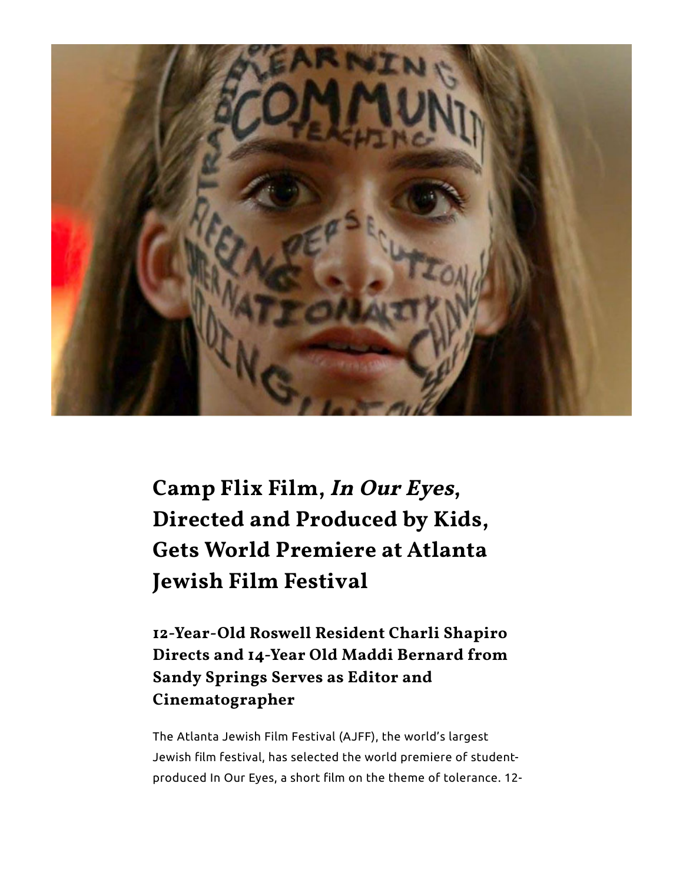

**Camp Flix Film, In Our Eyes, Directed and Produced by Kids, Gets World Premiere at Atlanta Jewish Film Festival**

**12-Year-Old Roswell Resident Charli Shapiro Directs and 14-Year Old Maddi Bernard from Sandy Springs Serves as Editor and Cinematographer**

The Atlanta Jewish Film Festival (AJFF), the world's largest Jewish film festival, has selected the world premiere of studentproduced In Our Eyes, a short film on the theme of tolerance. 12-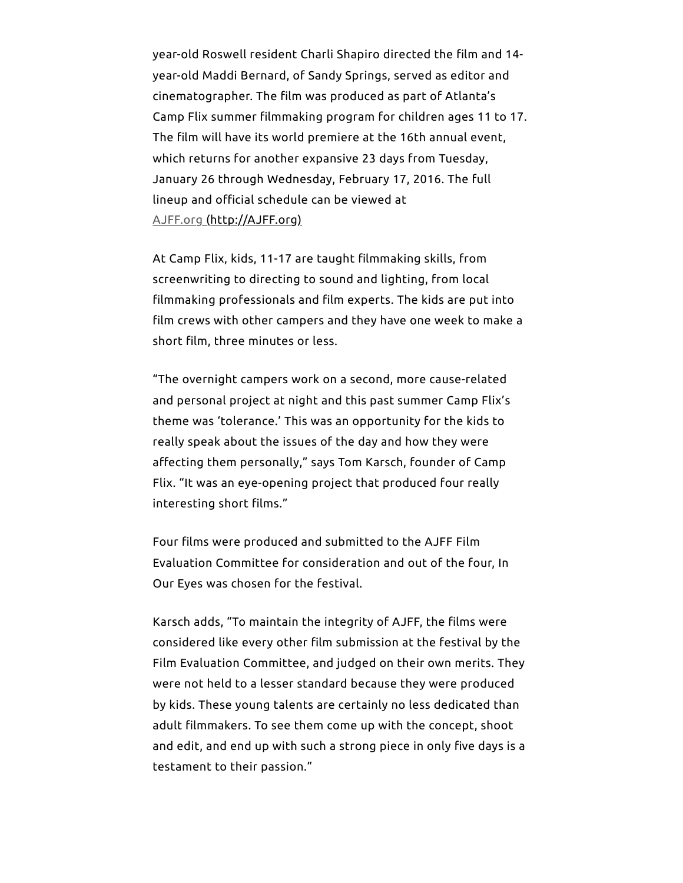year-old Roswell resident Charli Shapiro directed the film and 14year-old Maddi Bernard, of Sandy Springs, served as editor and cinematographer. The film was produced as part of Atlanta's Camp Flix summer filmmaking program for children ages 11 to 17. The film will have its world premiere at the 16th annual event, which returns for another expansive 23 days from Tuesday, January 26 through Wednesday, February 17, 2016. The full lineup and official schedule can be viewed at AJFF.org (http://AJFF.org)

At Camp Flix, kids, 11-17 are taught filmmaking skills, from screenwriting to directing to sound and lighting, from local filmmaking professionals and film experts. The kids are put into film crews with other campers and they have one week to make a short film, three minutes or less.

"The overnight campers work on a second, more cause-related and personal project at night and this past summer Camp Flix's theme was 'tolerance.' This was an opportunity for the kids to really speak about the issues of the day and how they were affecting them personally," says Tom Karsch, founder of Camp Flix. "It was an eye-opening project that produced four really interesting short films."

Four films were produced and submitted to the AJFF Film Evaluation Committee for consideration and out of the four, In Our Eyes was chosen for the festival.

Karsch adds, "To maintain the integrity of AJFF, the films were considered like every other film submission at the festival by the Film Evaluation Committee, and judged on their own merits. They were not held to a lesser standard because they were produced by kids. These young talents are certainly no less dedicated than adult filmmakers. To see them come up with the concept, shoot and edit, and end up with such a strong piece in only five days is a testament to their passion."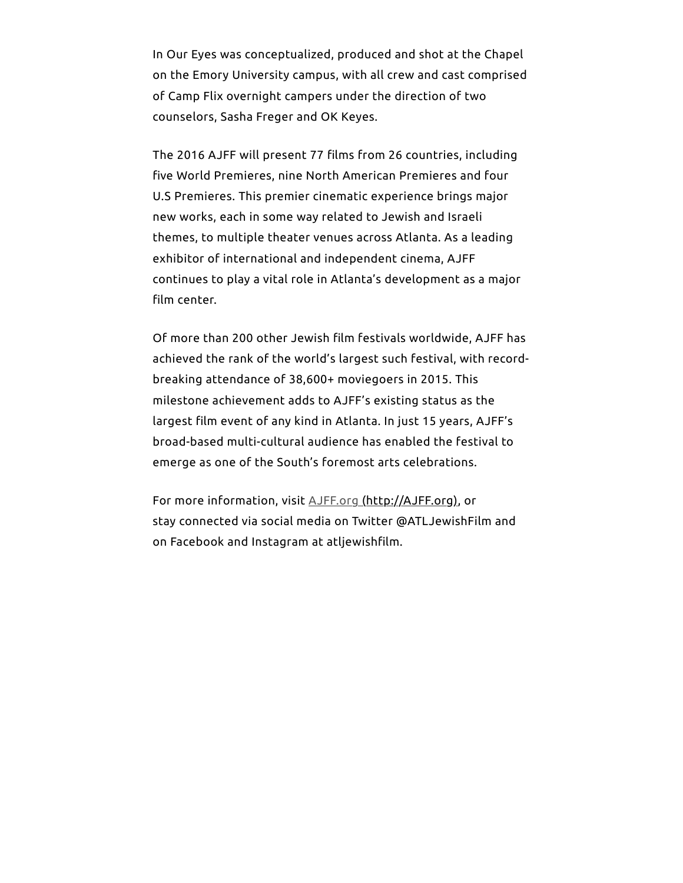In Our Eyes was conceptualized, produced and shot at the Chapel on the Emory University campus, with all crew and cast comprised of Camp Flix overnight campers under the direction of two counselors, Sasha Freger and OK Keyes.

The 2016 AJFF will present 77 films from 26 countries, including five World Premieres, nine North American Premieres and four U.S Premieres. This premier cinematic experience brings major new works, each in some way related to Jewish and Israeli themes, to multiple theater venues across Atlanta. As a leading exhibitor of international and independent cinema, AJFF continues to play a vital role in Atlanta's development as a major film center.

Of more than 200 other Jewish film festivals worldwide, AJFF has achieved the rank of the world's largest such festival, with recordbreaking attendance of 38,600+ moviegoers in 2015. This milestone achievement adds to AJFF's existing status as the largest film event of any kind in Atlanta. In just 15 years, AJFF's broad-based multi-cultural audience has enabled the festival to emerge as one of the South's foremost arts celebrations.

For more information, visit AJFF.org (http://AJFF.org), or stay connected via social media on Twitter @ATLJewishFilm and on Facebook and Instagram at atljewishfilm.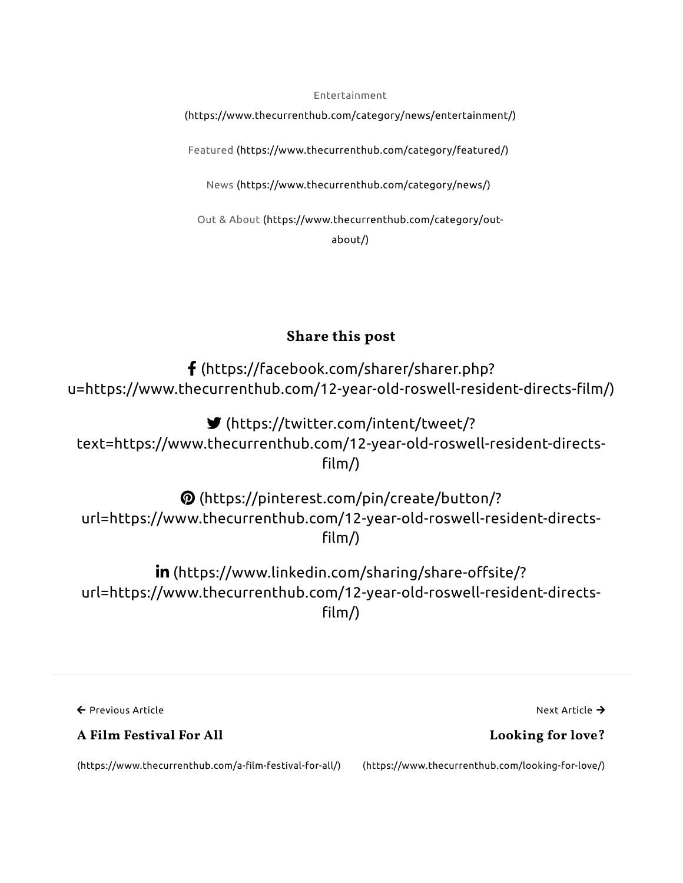Entertainment

(https://www.thecurrenthub.com/category/news/entertainment/)

Featured (https://www.thecurrenthub.com/category/featured/)

News (https://www.thecurrenthub.com/category/news/)

Out & About (https://www.thecurrenthub.com/category/outabout/)

#### **Share this post**

! (https://facebook.com/sharer/sharer.php? u=https://www.thecurrenthub.com/12-year-old-roswell-resident-directs-film/)

& (https://twitter.com/intent/tweet/? text=https://www.thecurrenthub.com/12-year-old-roswell-resident-directs  $film/$ )

\$ (https://pinterest.com/pin/create/button/? url=https://www.thecurrenthub.com/12-year-old-roswell-resident-directs  $film/$ )

in (https://www.linkedin.com/sharing/share-offsite/? url=https://www.thecurrenthub.com/12-year-old-roswell-resident-directs-  $\lim$ 

← Previous Article

**A Film Festival For All**

(https://www.thecurrenthub.com/a-film-festival-for-all/)

(https://www.thecurrenthub.com/looking-for-love/)

Next Article  $\rightarrow$ 

**Looking for love?**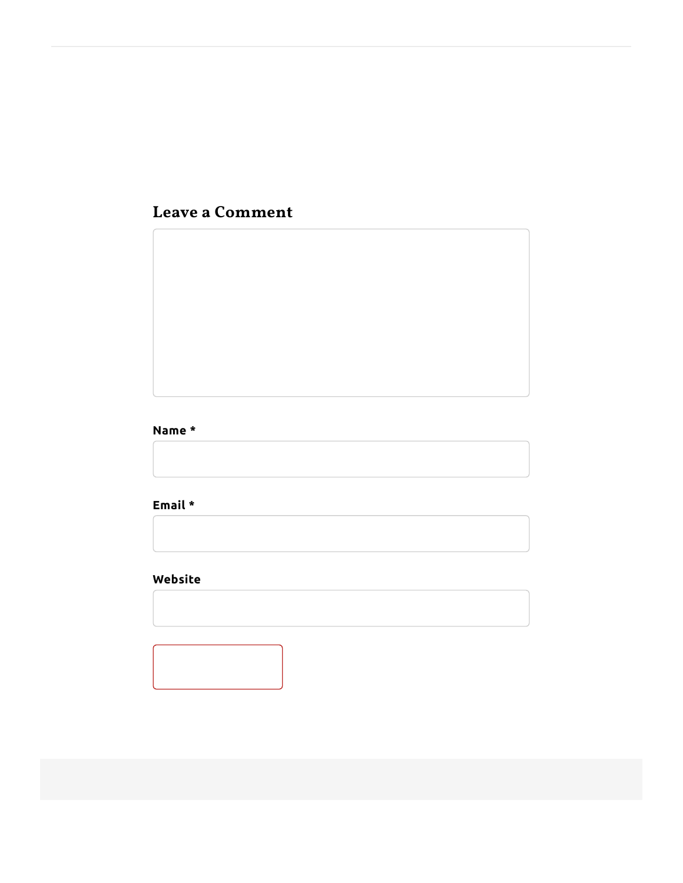# **Leave a Comment**

#### **Name \***

**Email \***

### **Website**